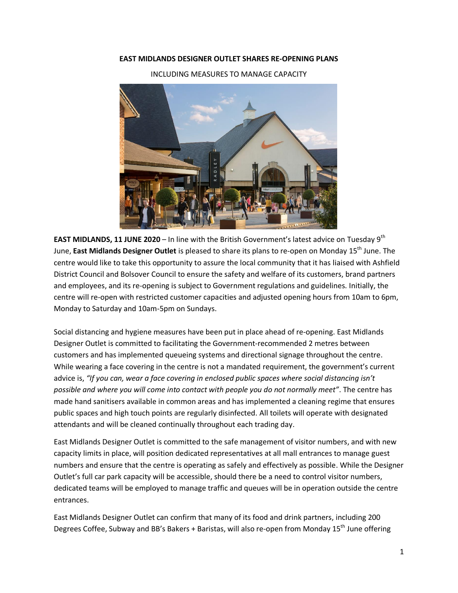## **EAST MIDLANDS DESIGNER OUTLET SHARES RE-OPENING PLANS**

INCLUDING MEASURES TO MANAGE CAPACITY



**EAST MIDLANDS, 11 JUNE 2020** – In line with the British Government's latest advice on Tuesday 9th June, **East Midlands Designer Outlet** is pleased to share its plans to re-open on Monday 15th June. The centre would like to take this opportunity to assure the local community that it has liaised with Ashfield District Council and Bolsover Council to ensure the safety and welfare of its customers, brand partners and employees, and its re-opening is subject to Government regulations and guidelines. Initially, the centre will re-open with restricted customer capacities and adjusted opening hours from 10am to 6pm, Monday to Saturday and 10am-5pm on Sundays.

Social distancing and hygiene measures have been put in place ahead of re-opening. East Midlands Designer Outlet is committed to facilitating the Government-recommended 2 metres between customers and has implemented queueing systems and directional signage throughout the centre. While wearing a face covering in the centre is not a mandated requirement, the government's current advice is, *"If you can, wear a face covering in enclosed public spaces where social distancing isn't possible and where you will come into contact with people you do not normally meet"*. The centre has made hand sanitisers available in common areas and has implemented a cleaning regime that ensures public spaces and high touch points are regularly disinfected. All toilets will operate with designated attendants and will be cleaned continually throughout each trading day.

East Midlands Designer Outlet is committed to the safe management of visitor numbers, and with new capacity limits in place, will position dedicated representatives at all mall entrances to manage guest numbers and ensure that the centre is operating as safely and effectively as possible. While the Designer Outlet's full car park capacity will be accessible, should there be a need to control visitor numbers, dedicated teams will be employed to manage traffic and queues will be in operation outside the centre entrances.

East Midlands Designer Outlet can confirm that many of its food and drink partners, including 200 Degrees Coffee, Subway and BB's Bakers + Baristas, will also re-open from Monday 15<sup>th</sup> June offering